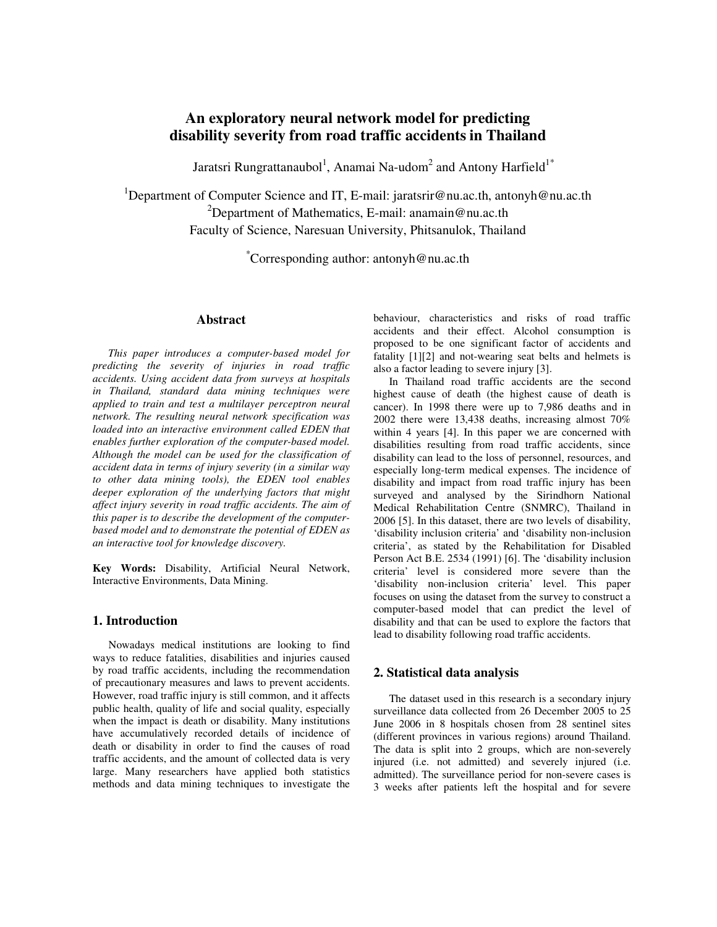# **An exploratory neural network model for predicting disability severity from road traffic accidents in Thailand**

Jaratsri Rungrattanaubol $^1$ , Anamai Na-udom $^2$  and Antony Harfield $^{1^\ast}$ 

<sup>1</sup>Department of Computer Science and IT, E-mail: jaratsrir@nu.ac.th, antonyh@nu.ac.th <sup>2</sup>Department of Mathematics, E-mail: anamain@nu.ac.th Faculty of Science, Naresuan University, Phitsanulok, Thailand

\*Corresponding author: antonyh@nu.ac.th

# **Abstract**

*This paper introduces a computer-based model for predicting the severity of injuries in road traffic accidents. Using accident data from surveys at hospitals in Thailand, standard data mining techniques were applied to train and test a multilayer perceptron neural network. The resulting neural network specification was loaded into an interactive environment called EDEN that enables further exploration of the computer-based model. Although the model can be used for the classification of accident data in terms of injury severity (in a similar way to other data mining tools), the EDEN tool enables deeper exploration of the underlying factors that might affect injury severity in road traffic accidents. The aim of this paper is to describe the development of the computerbased model and to demonstrate the potential of EDEN as an interactive tool for knowledge discovery.*

**Key Words:** Disability, Artificial Neural Network, Interactive Environments, Data Mining.

#### **1. Introduction**

Nowadays medical institutions are looking to find ways to reduce fatalities, disabilities and injuries caused by road traffic accidents, including the recommendation of precautionary measures and laws to prevent accidents. However, road traffic injury is still common, and it affects public health, quality of life and social quality, especially when the impact is death or disability. Many institutions have accumulatively recorded details of incidence of death or disability in order to find the causes of road traffic accidents, and the amount of collected data is very large. Many researchers have applied both statistics methods and data mining techniques to investigate the behaviour, characteristics and risks of road traffic accidents and their effect. Alcohol consumption is proposed to be one significant factor of accidents and fatality [1][2] and not-wearing seat belts and helmets is also a factor leading to severe injury [3].

In Thailand road traffic accidents are the second highest cause of death (the highest cause of death is cancer). In 1998 there were up to 7,986 deaths and in 2002 there were 13,438 deaths, increasing almost 70% within 4 years [4]. In this paper we are concerned with disabilities resulting from road traffic accidents, since disability can lead to the loss of personnel, resources, and especially long-term medical expenses. The incidence of disability and impact from road traffic injury has been surveyed and analysed by the Sirindhorn National Medical Rehabilitation Centre (SNMRC), Thailand in 2006 [5]. In this dataset, there are two levels of disability, 'disability inclusion criteria' and 'disability non-inclusion criteria', as stated by the Rehabilitation for Disabled Person Act B.E. 2534 (1991) [6]. The 'disability inclusion criteria' level is considered more severe than the 'disability non-inclusion criteria' level. This paper focuses on using the dataset from the survey to construct a computer-based model that can predict the level of disability and that can be used to explore the factors that lead to disability following road traffic accidents.

## **2. Statistical data analysis**

The dataset used in this research is a secondary injury surveillance data collected from 26 December 2005 to 25 June 2006 in 8 hospitals chosen from 28 sentinel sites (different provinces in various regions) around Thailand. The data is split into 2 groups, which are non-severely injured (i.e. not admitted) and severely injured (i.e. admitted). The surveillance period for non-severe cases is 3 weeks after patients left the hospital and for severe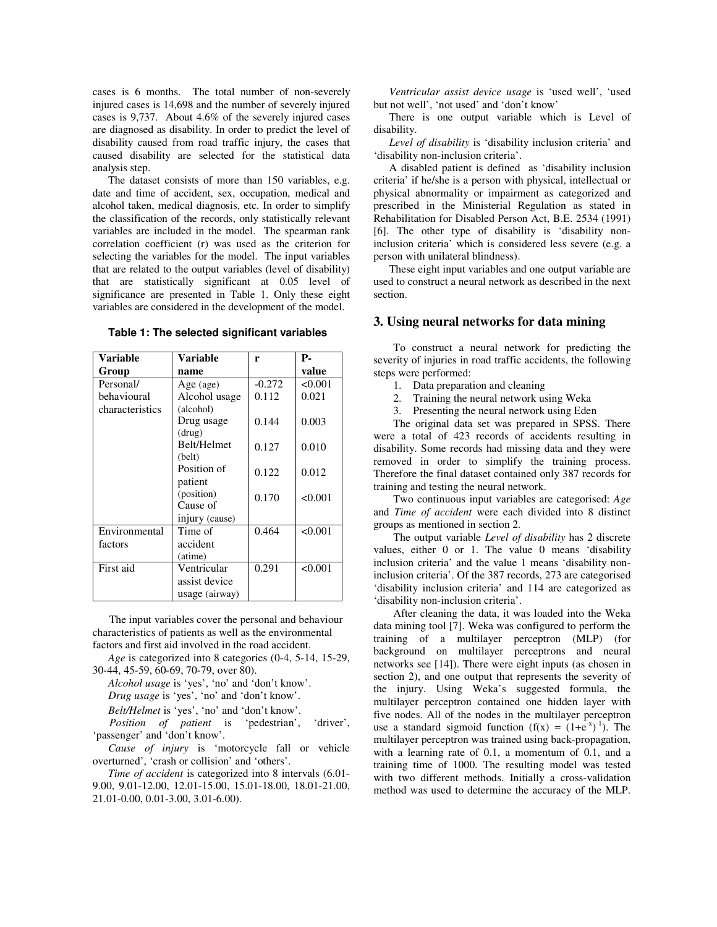cases is 6 months. The total number of non-severely injured cases is 14,698 and the number of severely injured cases is 9,737. About 4.6% of the severely injured cases are diagnosed as disability. In order to predict the level of disability caused from road traffic injury, the cases that caused disability are selected for the statistical data analysis step.

The dataset consists of more than 150 variables, e.g. date and time of accident, sex, occupation, medical and alcohol taken, medical diagnosis, etc. In order to simplify the classification of the records, only statistically relevant variables are included in the model. The spearman rank correlation coefficient (r) was used as the criterion for selecting the variables for the model. The input variables that are related to the output variables (level of disability) that are statistically significant at 0.05 level of significance are presented in Table 1. Only these eight variables are considered in the development of the model.

| Variable        | Variable       | r        | Р.      |  |
|-----------------|----------------|----------|---------|--|
| Group           | name           |          | value   |  |
| Personal/       | Age (age)      | $-0.272$ | < 0.001 |  |
| behavioural     | Alcohol usage  | 0.112    | 0.021   |  |
| characteristics | (alcohol)      |          |         |  |
|                 | Drug usage     | 0.144    | 0.003   |  |
|                 | (drug)         |          |         |  |
|                 | Belt/Helmet    | 0.127    | 0.010   |  |
|                 | (belt)         |          |         |  |
|                 | Position of    | 0.122    | 0.012   |  |
|                 | patient        |          |         |  |
|                 | (position)     | 0.170    | < 0.001 |  |
|                 | Cause of       |          |         |  |
|                 | injury (cause) |          |         |  |
| Environmental   | Time of        | 0.464    | < 0.001 |  |
| factors         | accident       |          |         |  |
|                 | (atime)        |          |         |  |
| First aid       | Ventricular    | 0.291    | < 0.001 |  |
|                 | assist device  |          |         |  |
|                 | usage (airway) |          |         |  |

**Table 1: The selected significant variables**

 The input variables cover the personal and behaviour characteristics of patients as well as the environmental factors and first aid involved in the road accident.

*Age* is categorized into 8 categories (0-4, 5-14, 15-29, 30-44, 45-59, 60-69, 70-79, over 80).

*Alcohol usage* is 'yes', 'no' and 'don't know'.

*Drug usage* is 'yes', 'no' and 'don't know'.

*Belt/Helmet* is 'yes', 'no' and 'don't know'.

 *Position of patient* is 'pedestrian', 'driver', 'passenger' and 'don't know'.

*Cause of injury* is 'motorcycle fall or vehicle overturned', 'crash or collision' and 'others'.

*Time of accident* is categorized into 8 intervals (6.01- 9.00, 9.01-12.00, 12.01-15.00, 15.01-18.00, 18.01-21.00, 21.01-0.00, 0.01-3.00, 3.01-6.00).

*Ventricular assist device usage* is 'used well', 'used but not well', 'not used' and 'don't know'

There is one output variable which is Level of disability.

*Level of disability* is 'disability inclusion criteria' and 'disability non-inclusion criteria'.

A disabled patient is defined as 'disability inclusion criteria' if he/she is a person with physical, intellectual or physical abnormality or impairment as categorized and prescribed in the Ministerial Regulation as stated in Rehabilitation for Disabled Person Act, B.E. 2534 (1991) [6]. The other type of disability is 'disability noninclusion criteria' which is considered less severe (e.g. a person with unilateral blindness).

These eight input variables and one output variable are used to construct a neural network as described in the next section.

## **3. Using neural networks for data mining**

To construct a neural network for predicting the severity of injuries in road traffic accidents, the following steps were performed:

- 1. Data preparation and cleaning
- 2. Training the neural network using Weka
- 3. Presenting the neural network using Eden

The original data set was prepared in SPSS. There were a total of 423 records of accidents resulting in disability. Some records had missing data and they were removed in order to simplify the training process. Therefore the final dataset contained only 387 records for training and testing the neural network.

Two continuous input variables are categorised: *Age* and *Time of accident* were each divided into 8 distinct groups as mentioned in section 2.

The output variable *Level of disability* has 2 discrete values, either 0 or 1. The value 0 means 'disability inclusion criteria' and the value 1 means 'disability noninclusion criteria'. Of the 387 records, 273 are categorised 'disability inclusion criteria' and 114 are categorized as 'disability non-inclusion criteria'.

After cleaning the data, it was loaded into the Weka data mining tool [7]. Weka was configured to perform the training of a multilayer perceptron (MLP) (for background on multilayer perceptrons and neural networks see [14]). There were eight inputs (as chosen in section 2), and one output that represents the severity of the injury. Using Weka's suggested formula, the multilayer perceptron contained one hidden layer with five nodes. All of the nodes in the multilayer perceptron use a standard sigmoid function  $(f(x) = (1 + e^{-x})^{-1})$ . The multilayer perceptron was trained using back-propagation, with a learning rate of 0.1, a momentum of 0.1, and a training time of 1000. The resulting model was tested with two different methods. Initially a cross-validation method was used to determine the accuracy of the MLP.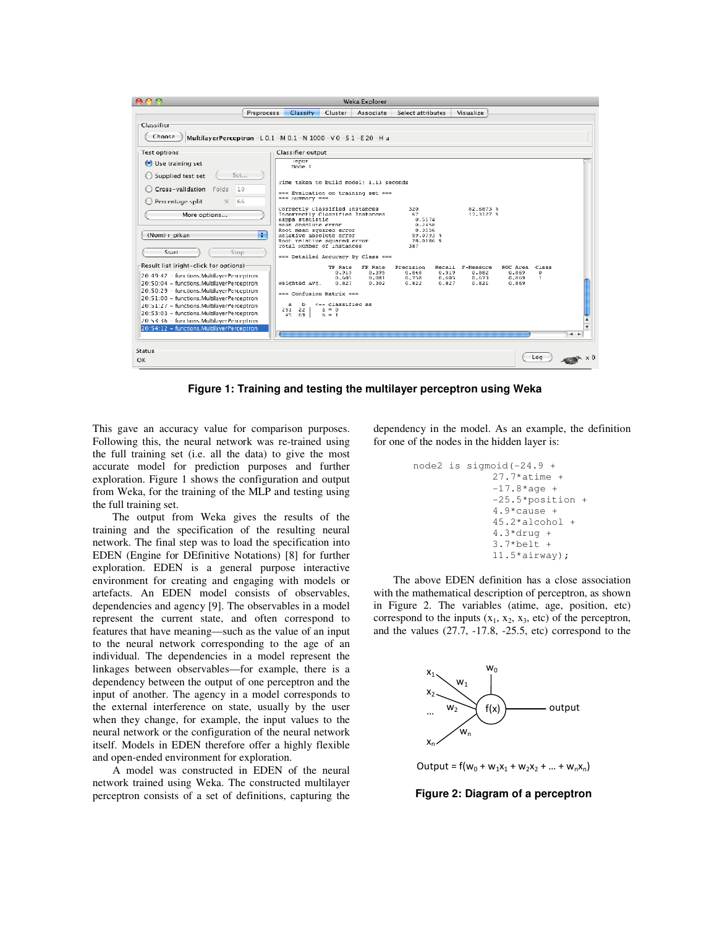

**Figure 1: Training and testing the multilayer perceptron using Weka**

This gave an accuracy value for comparison purposes. Following this, the neural network was re-trained using the full training set (i.e. all the data) to give the most accurate model for prediction purposes and further exploration. Figure 1 shows the configuration and output from Weka, for the training of the MLP and testing using the full training set.

The output from Weka gives the results of the training and the specification of the resulting neural network. The final step was to load the specification into EDEN (Engine for DEfinitive Notations) [8] for further exploration. EDEN is a general purpose interactive environment for creating and engaging with models or artefacts. An EDEN model consists of observables, dependencies and agency [9]. The observables in a model represent the current state, and often correspond to features that have meaning—such as the value of an input to the neural network corresponding to the age of an individual. The dependencies in a model represent the linkages between observables—for example, there is a dependency between the output of one perceptron and the input of another. The agency in a model corresponds to the external interference on state, usually by the user when they change, for example, the input values to the neural network or the configuration of the neural network itself. Models in EDEN therefore offer a highly flexible and open-ended environment for exploration.

A model was constructed in EDEN of the neural network trained using Weka. The constructed multilayer perceptron consists of a set of definitions, capturing the dependency in the model. As an example, the definition for one of the nodes in the hidden layer is:

```
node2 is sigmoid(-24.9 + 
  27.7*atime +
  -17.8*age +
  -25.5*position +
  4.9*cause + 
  45.2*alcohol + 
  4.3*drug +
  3.7*belt + 
  11.5*airway);
```
The above EDEN definition has a close association with the mathematical description of perceptron, as shown in Figure 2. The variables (atime, age, position, etc) correspond to the inputs  $(x_1, x_2, x_3, \text{ etc})$  of the perceptron, and the values (27.7, -17.8, -25.5, etc) correspond to the



Output =  $f(w_0 + w_1x_1 + w_2x_2 + ... + w_nx_n)$ 

**Figure 2: Diagram of a perceptron**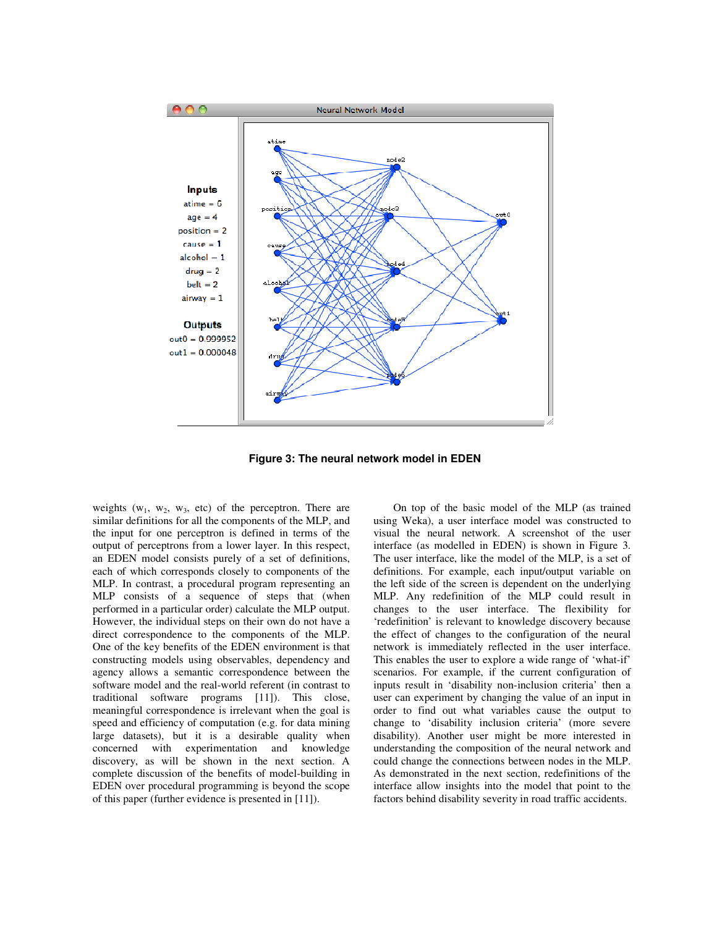

**Figure 3: The neural network model in EDEN**

weights  $(w_1, w_2, w_3, etc)$  of the perceptron. There are similar definitions for all the components of the MLP, and the input for one perceptron is defined in terms of the output of perceptrons from a lower layer. In this respect, an EDEN model consists purely of a set of definitions, each of which corresponds closely to components of the MLP. In contrast, a procedural program representing an MLP consists of a sequence of steps that (when performed in a particular order) calculate the MLP output. However, the individual steps on their own do not have a direct correspondence to the components of the MLP. One of the key benefits of the EDEN environment is that constructing models using observables, dependency and agency allows a semantic correspondence between the software model and the real-world referent (in contrast to traditional software programs [11]). This close, meaningful correspondence is irrelevant when the goal is speed and efficiency of computation (e.g. for data mining large datasets), but it is a desirable quality when concerned with experimentation and knowledge discovery, as will be shown in the next section. A complete discussion of the benefits of model-building in EDEN over procedural programming is beyond the scope of this paper (further evidence is presented in [11]).

On top of the basic model of the MLP (as trained using Weka), a user interface model was constructed to visual the neural network. A screenshot of the user interface (as modelled in EDEN) is shown in Figure 3. The user interface, like the model of the MLP, is a set of definitions. For example, each input/output variable on the left side of the screen is dependent on the underlying MLP. Any redefinition of the MLP could result in changes to the user interface. The flexibility for 'redefinition' is relevant to knowledge discovery because the effect of changes to the configuration of the neural network is immediately reflected in the user interface. This enables the user to explore a wide range of 'what-if' scenarios. For example, if the current configuration of inputs result in 'disability non-inclusion criteria' then a user can experiment by changing the value of an input in order to find out what variables cause the output to change to 'disability inclusion criteria' (more severe disability). Another user might be more interested in understanding the composition of the neural network and could change the connections between nodes in the MLP. As demonstrated in the next section, redefinitions of the interface allow insights into the model that point to the factors behind disability severity in road traffic accidents.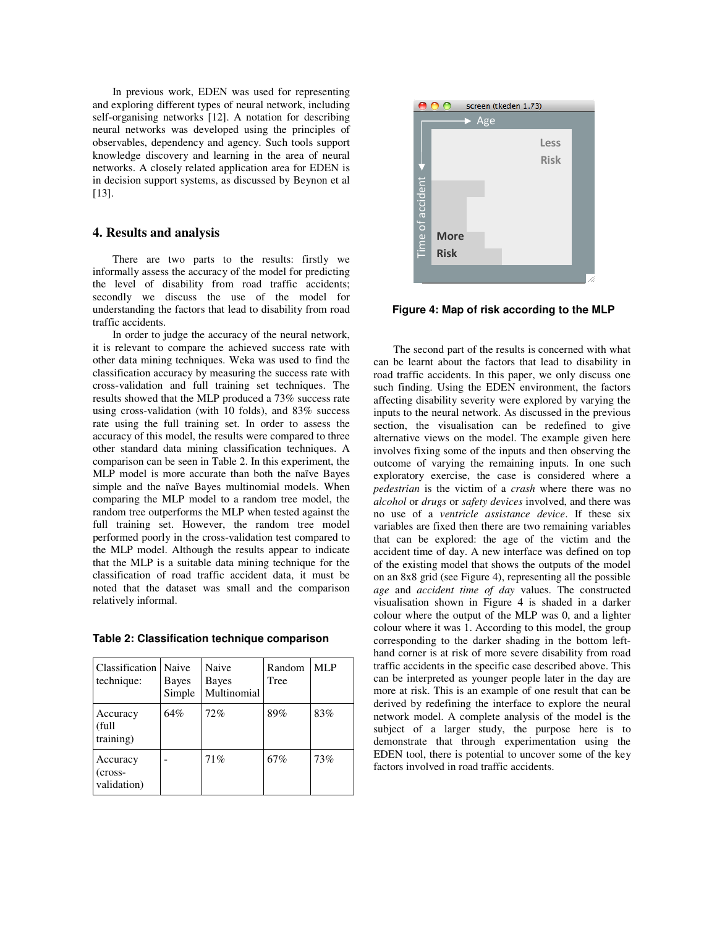In previous work, EDEN was used for representing and exploring different types of neural network, including self-organising networks [12]. A notation for describing neural networks was developed using the principles of observables, dependency and agency. Such tools support knowledge discovery and learning in the area of neural networks. A closely related application area for EDEN is in decision support systems, as discussed by Beynon et al [13].

## **4. Results and analysis**

There are two parts to the results: firstly we informally assess the accuracy of the model for predicting the level of disability from road traffic accidents; secondly we discuss the use of the model for understanding the factors that lead to disability from road traffic accidents.

In order to judge the accuracy of the neural network, it is relevant to compare the achieved success rate with other data mining techniques. Weka was used to find the classification accuracy by measuring the success rate with cross-validation and full training set techniques. The results showed that the MLP produced a 73% success rate using cross-validation (with 10 folds), and 83% success rate using the full training set. In order to assess the accuracy of this model, the results were compared to three other standard data mining classification techniques. A comparison can be seen in Table 2. In this experiment, the MLP model is more accurate than both the naïve Bayes simple and the naïve Bayes multinomial models. When comparing the MLP model to a random tree model, the random tree outperforms the MLP when tested against the full training set. However, the random tree model performed poorly in the cross-validation test compared to the MLP model. Although the results appear to indicate that the MLP is a suitable data mining technique for the classification of road traffic accident data, it must be noted that the dataset was small and the comparison relatively informal.

**Table 2: Classification technique comparison**

| Classification<br>technique:         | Naive<br>Bayes<br>Simple | Naive<br>Bayes<br>Multinomial | Random<br>Tree | <b>MLP</b> |
|--------------------------------------|--------------------------|-------------------------------|----------------|------------|
| Accuracy<br>(full<br>training)       | 64%                      | 72%                           | 89%            | 83%        |
| Accuracy<br>$(cross-$<br>validation) |                          | 71%                           | 67%            | 73%        |



**Figure 4: Map of risk according to the MLP**

The second part of the results is concerned with what can be learnt about the factors that lead to disability in road traffic accidents. In this paper, we only discuss one such finding. Using the EDEN environment, the factors affecting disability severity were explored by varying the inputs to the neural network. As discussed in the previous section, the visualisation can be redefined to give alternative views on the model. The example given here involves fixing some of the inputs and then observing the outcome of varying the remaining inputs. In one such exploratory exercise, the case is considered where a *pedestrian* is the victim of a *crash* where there was no *alcohol* or *drugs* or *safety devices* involved, and there was no use of a *ventricle assistance device*. If these six variables are fixed then there are two remaining variables that can be explored: the age of the victim and the accident time of day. A new interface was defined on top of the existing model that shows the outputs of the model on an 8x8 grid (see Figure 4), representing all the possible *age* and *accident time of day* values. The constructed visualisation shown in Figure 4 is shaded in a darker colour where the output of the MLP was 0, and a lighter colour where it was 1. According to this model, the group corresponding to the darker shading in the bottom lefthand corner is at risk of more severe disability from road traffic accidents in the specific case described above. This can be interpreted as younger people later in the day are more at risk. This is an example of one result that can be derived by redefining the interface to explore the neural network model. A complete analysis of the model is the subject of a larger study, the purpose here is to demonstrate that through experimentation using the EDEN tool, there is potential to uncover some of the key factors involved in road traffic accidents.